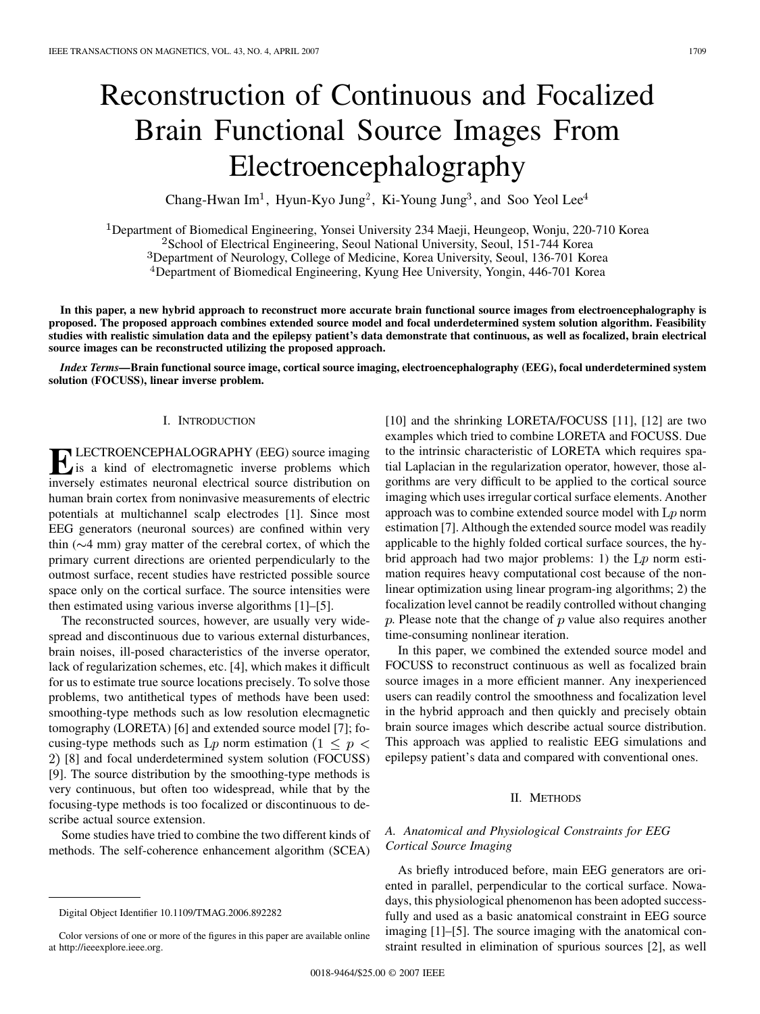# Reconstruction of Continuous and Focalized Brain Functional Source Images From Electroencephalography

Chang-Hwan Im<sup>1</sup>, Hyun-Kyo Jung<sup>2</sup>, Ki-Young Jung<sup>3</sup>, and Soo Yeol Lee<sup>4</sup>

<sup>1</sup>Department of Biomedical Engineering, Yonsei University 234 Maeji, Heungeop, Wonju, 220-710 Korea

<sup>2</sup>School of Electrical Engineering, Seoul National University, Seoul, 151-744 Korea

<sup>3</sup>Department of Neurology, College of Medicine, Korea University, Seoul, 136-701 Korea

Department of Biomedical Engineering, Kyung Hee University, Yongin, 446-701 Korea

**In this paper, a new hybrid approach to reconstruct more accurate brain functional source images from electroencephalography is proposed. The proposed approach combines extended source model and focal underdetermined system solution algorithm. Feasibility studies with realistic simulation data and the epilepsy patient's data demonstrate that continuous, as well as focalized, brain electrical source images can be reconstructed utilizing the proposed approach.**

*Index Terms—***Brain functional source image, cortical source imaging, electroencephalography (EEG), focal underdetermined system solution (FOCUSS), linear inverse problem.**

## I. INTRODUCTION

**ELECTROENCEPHALOGRAPHY (EEG) source imaging**<br>is a kind of electromagnetic inverse problems which<br>inversely estimates neuronal electrical source distribution on inversely estimates neuronal electrical source distribution on human brain cortex from noninvasive measurements of electric potentials at multichannel scalp electrodes [\[1\].](#page-3-0) Since most EEG generators (neuronal sources) are confined within very thin  $(\sim 4 \text{ mm})$  gray matter of the cerebral cortex, of which the primary current directions are oriented perpendicularly to the outmost surface, recent studies have restricted possible source space only on the cortical surface. The source intensities were then estimated using various inverse algorithms [\[1\]–\[5\].](#page-3-0)

The reconstructed sources, however, are usually very widespread and discontinuous due to various external disturbances, brain noises, ill-posed characteristics of the inverse operator, lack of regularization schemes, etc. [\[4\]](#page-3-0), which makes it difficult for us to estimate true source locations precisely. To solve those problems, two antithetical types of methods have been used: smoothing-type methods such as low resolution elecmagnetic tomography (LORETA) [\[6\]](#page-3-0) and extended source model [\[7\]](#page-3-0); focusing-type methods such as  $Lp$  norm estimation  $(1 \lt p \lt p)$ [\[8\]](#page-3-0) and focal underdetermined system solution (FOCUSS) [\[9\].](#page-3-0) The source distribution by the smoothing-type methods is very continuous, but often too widespread, while that by the focusing-type methods is too focalized or discontinuous to describe actual source extension.

Some studies have tried to combine the two different kinds of methods. The self-coherence enhancement algorithm (SCEA)

[\[10\]](#page-3-0) and the shrinking LORETA/FOCUSS [\[11\]](#page-3-0), [\[12\]](#page-3-0) are two examples which tried to combine LORETA and FOCUSS. Due to the intrinsic characteristic of LORETA which requires spatial Laplacian in the regularization operator, however, those algorithms are very difficult to be applied to the cortical source imaging which uses irregular cortical surface elements. Another approach was to combine extended source model with  $L_p$  norm estimation [\[7\]](#page-3-0). Although the extended source model was readily applicable to the highly folded cortical surface sources, the hybrid approach had two major problems: 1) the  $Lp$  norm estimation requires heavy computational cost because of the nonlinear optimization using linear program-ing algorithms; 2) the focalization level cannot be readily controlled without changing  $p$ . Please note that the change of  $p$  value also requires another time-consuming nonlinear iteration.

In this paper, we combined the extended source model and FOCUSS to reconstruct continuous as well as focalized brain source images in a more efficient manner. Any inexperienced users can readily control the smoothness and focalization level in the hybrid approach and then quickly and precisely obtain brain source images which describe actual source distribution. This approach was applied to realistic EEG simulations and epilepsy patient's data and compared with conventional ones.

#### II. METHODS

# *A. Anatomical and Physiological Constraints for EEG Cortical Source Imaging*

As briefly introduced before, main EEG generators are oriented in parallel, perpendicular to the cortical surface. Nowadays, this physiological phenomenon has been adopted successfully and used as a basic anatomical constraint in EEG source imaging [\[1\]–\[5\].](#page-3-0) The source imaging with the anatomical constraint resulted in elimination of spurious sources [\[2\],](#page-3-0) as well

Digital Object Identifier 10.1109/TMAG.2006.892282

Color versions of one or more of the figures in this paper are available online at http://ieeexplore.ieee.org.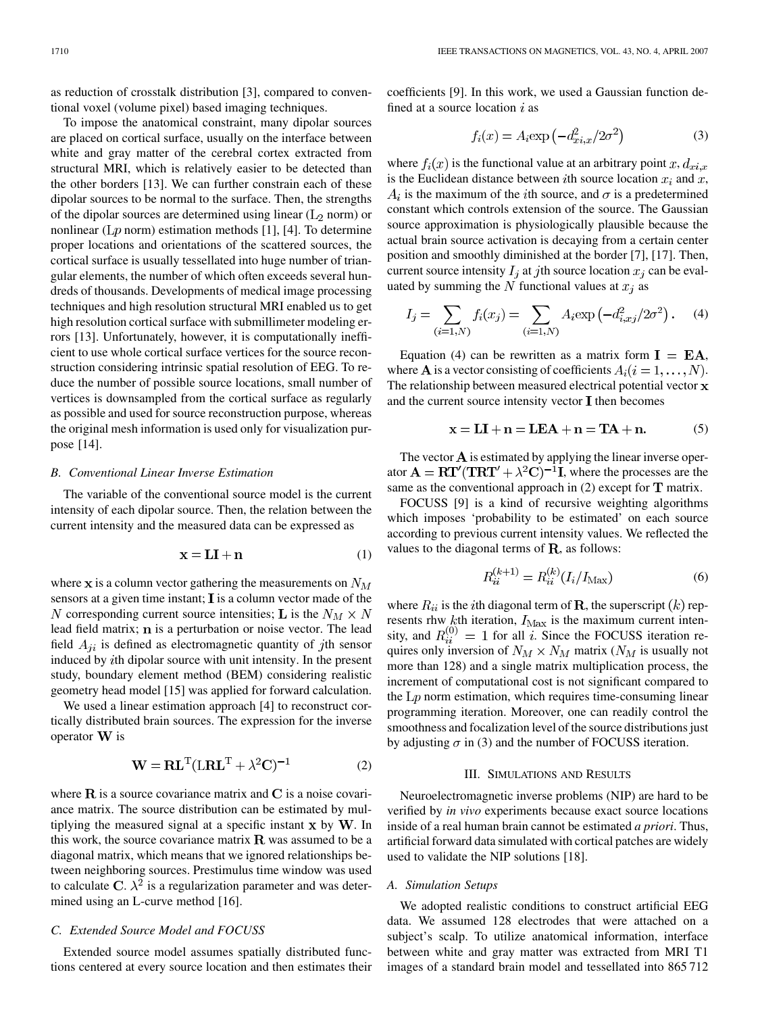as reduction of crosstalk distribution [\[3\],](#page-3-0) compared to conventional voxel (volume pixel) based imaging techniques.

To impose the anatomical constraint, many dipolar sources are placed on cortical surface, usually on the interface between white and gray matter of the cerebral cortex extracted from structural MRI, which is relatively easier to be detected than the other borders [\[13\]](#page-3-0). We can further constrain each of these dipolar sources to be normal to the surface. Then, the strengths of the dipolar sources are determined using linear  $(L_2 \text{ norm})$  or nonlinear ( $Lp$  norm) estimation methods [\[1\]](#page-3-0), [\[4\].](#page-3-0) To determine proper locations and orientations of the scattered sources, the cortical surface is usually tessellated into huge number of triangular elements, the number of which often exceeds several hundreds of thousands. Developments of medical image processing techniques and high resolution structural MRI enabled us to get high resolution cortical surface with submillimeter modeling errors [\[13\].](#page-3-0) Unfortunately, however, it is computationally inefficient to use whole cortical surface vertices for the source reconstruction considering intrinsic spatial resolution of EEG. To reduce the number of possible source locations, small number of vertices is downsampled from the cortical surface as regularly as possible and used for source reconstruction purpose, whereas the original mesh information is used only for visualization purpose [\[14\]](#page-3-0).

## *B. Conventional Linear Inverse Estimation*

The variable of the conventional source model is the current intensity of each dipolar source. Then, the relation between the current intensity and the measured data can be expressed as

$$
\mathbf{x} = \mathbf{L}\mathbf{I} + \mathbf{n} \tag{1}
$$

where  $x$  is a column vector gathering the measurements on  $N_M$ sensors at a given time instant;  $\mathbf I$  is a column vector made of the N corresponding current source intensities; L is the  $N_M \times N$ lead field matrix;  $n$  is a perturbation or noise vector. The lead field  $A_{ji}$  is defined as electromagnetic quantity of jth sensor induced by th dipolar source with unit intensity. In the present study, boundary element method (BEM) considering realistic geometry head model [\[15\]](#page-3-0) was applied for forward calculation.

We used a linear estimation approach [\[4\]](#page-3-0) to reconstruct cortically distributed brain sources. The expression for the inverse operator  $W$  is

$$
\mathbf{W} = \mathbf{R}\mathbf{L}^{\mathrm{T}}(\mathbf{L}\mathbf{R}\mathbf{L}^{\mathrm{T}} + \lambda^2 \mathbf{C})^{-1}
$$
 (2)

where  $\bf{R}$  is a source covariance matrix and  $\bf{C}$  is a noise covariance matrix. The source distribution can be estimated by multiplying the measured signal at a specific instant  $x$  by  $W$ . In this work, the source covariance matrix  $\bf R$  was assumed to be a diagonal matrix, which means that we ignored relationships between neighboring sources. Prestimulus time window was used to calculate C.  $\lambda^2$  is a regularization parameter and was determined using an L-curve method [\[16\]](#page-3-0).

## *C. Extended Source Model and FOCUSS*

Extended source model assumes spatially distributed functions centered at every source location and then estimates their coefficients [\[9\].](#page-3-0) In this work, we used a Gaussian function defined at a source location  $i$  as

$$
f_i(x) = A_i \exp\left(-d_{xi,x}^2/2\sigma^2\right)
$$
 (3)

where  $f_i(x)$  is the functional value at an arbitrary point  $x, d_{x_i,x}$ is the Euclidean distance between *i*th source location  $x_i$  and  $x$ ,  $A_i$  is the maximum of the *i*th source, and  $\sigma$  is a predetermined constant which controls extension of the source. The Gaussian source approximation is physiologically plausible because the actual brain source activation is decaying from a certain center position and smoothly diminished at the border [\[7\]](#page-3-0), [\[17\].](#page-3-0) Then, current source intensity  $I_i$  at jth source location  $x_i$  can be evaluated by summing the N functional values at  $x_i$  as

$$
I_j = \sum_{(i=1,N)} f_i(x_j) = \sum_{(i=1,N)} A_i \exp(-d_{i,xj}^2/2\sigma^2).
$$
 (4)

Equation (4) can be rewritten as a matrix form  $I = EA$ , where **A** is a vector consisting of coefficients  $A_i (i = 1, \ldots, N)$ . The relationship between measured electrical potential vector **x** and the current source intensity vector  $\mathbf I$  then becomes

$$
\mathbf{x} = \mathbf{LI} + \mathbf{n} = \mathbf{LEA} + \mathbf{n} = \mathbf{TA} + \mathbf{n}.\tag{5}
$$

The vector  $A$  is estimated by applying the linear inverse operator  $\mathbf{A} = \mathbf{RT}'(\mathbf{T}\mathbf{RT}' + \lambda^2\mathbf{C})^{-1}\mathbf{I}$ , where the processes are the same as the conventional approach in  $(2)$  except for **T** matrix.

FOCUSS [\[9\]](#page-3-0) is a kind of recursive weighting algorithms which imposes 'probability to be estimated' on each source according to previous current intensity values. We reflected the values to the diagonal terms of **, as follows:** 

$$
R_{ii}^{(k+1)} = R_{ii}^{(k)}(I_i/I_{\text{Max}})
$$
 (6)

where  $R_{ii}$  is the *i*th diagonal term of **R**, the superscript  $(k)$  represents rhw  $k$ th iteration,  $I_{\text{Max}}$  is the maximum current intensity, and  $R_{ii}^{(0)} = 1$  for all i. Since the FOCUSS iteration requires only inversion of  $N_M \times N_M$  matrix ( $N_M$  is usually not more than 128) and a single matrix multiplication process, the increment of computational cost is not significant compared to the  $Lp$  norm estimation, which requires time-consuming linear programming iteration. Moreover, one can readily control the smoothness and focalization level of the source distributions just by adjusting  $\sigma$  in (3) and the number of FOCUSS iteration.

#### III. SIMULATIONS AND RESULTS

Neuroelectromagnetic inverse problems (NIP) are hard to be verified by *in vivo* experiments because exact source locations inside of a real human brain cannot be estimated *a priori*. Thus, artificial forward data simulated with cortical patches are widely used to validate the NIP solutions [\[18\]](#page-3-0).

#### *A. Simulation Setups*

We adopted realistic conditions to construct artificial EEG data. We assumed 128 electrodes that were attached on a subject's scalp. To utilize anatomical information, interface between white and gray matter was extracted from MRI T1 images of a standard brain model and tessellated into 865 712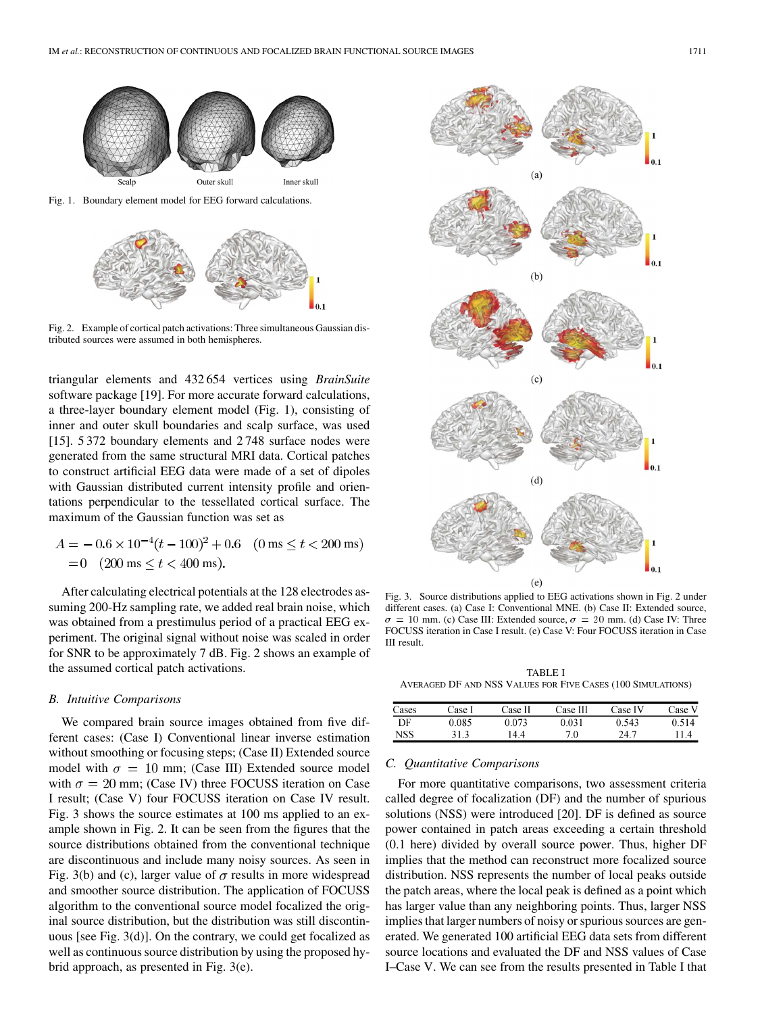

Fig. 1. Boundary element model for EEG forward calculations.



Fig. 2. Example of cortical patch activations: Three simultaneous Gaussian distributed sources were assumed in both hemispheres.

triangular elements and 432 654 vertices using *BrainSuite* software package [\[19\]](#page-3-0). For more accurate forward calculations, a three-layer boundary element model (Fig. 1), consisting of inner and outer skull boundaries and scalp surface, was used [\[15\].](#page-3-0) 5 372 boundary elements and 2 748 surface nodes were generated from the same structural MRI data. Cortical patches to construct artificial EEG data were made of a set of dipoles with Gaussian distributed current intensity profile and orientations perpendicular to the tessellated cortical surface. The maximum of the Gaussian function was set as

$$
A = -0.6 \times 10^{-4} (t - 100)^2 + 0.6 \quad (0 \text{ ms} \le t < 200 \text{ ms})
$$
  
= 0 (200 ms \le t < 400 ms).

After calculating electrical potentials at the 128 electrodes assuming 200-Hz sampling rate, we added real brain noise, which was obtained from a prestimulus period of a practical EEG experiment. The original signal without noise was scaled in order for SNR to be approximately 7 dB. Fig. 2 shows an example of the assumed cortical patch activations.

#### *B. Intuitive Comparisons*

We compared brain source images obtained from five different cases: (Case I) Conventional linear inverse estimation without smoothing or focusing steps; (Case II) Extended source model with  $\sigma = 10$  mm; (Case III) Extended source model with  $\sigma = 20$  mm; (Case IV) three FOCUSS iteration on Case I result; (Case V) four FOCUSS iteration on Case IV result. Fig. 3 shows the source estimates at 100 ms applied to an example shown in Fig. 2. It can be seen from the figures that the source distributions obtained from the conventional technique are discontinuous and include many noisy sources. As seen in Fig. 3(b) and (c), larger value of  $\sigma$  results in more widespread and smoother source distribution. The application of FOCUSS algorithm to the conventional source model focalized the original source distribution, but the distribution was still discontinuous [see Fig. 3(d)]. On the contrary, we could get focalized as well as continuous source distribution by using the proposed hybrid approach, as presented in Fig. 3(e).



Fig. 3. Source distributions applied to EEG activations shown in Fig. 2 under different cases. (a) Case I: Conventional MNE. (b) Case II: Extended source,  $\sigma = 10$  mm. (c) Case III: Extended source,  $\sigma = 20$  mm. (d) Case IV: Three FOCUSS iteration in Case I result. (e) Case V: Four FOCUSS iteration in Case III result.

TABLE I AVERAGED DF AND NSS VALUES FOR FIVE CASES (100 SIMULATIONS)

| Cases | Dase I | Case II | Case III | Case IV | Case V |
|-------|--------|---------|----------|---------|--------|
| DF    | 0.085  | 0.073   | 0.031    | 0.543   | 0.514  |
| NSS   | 31.3   | 44      | 70       | 24.7    | 114    |

#### *C. Quantitative Comparisons*

For more quantitative comparisons, two assessment criteria called degree of focalization (DF) and the number of spurious solutions (NSS) were introduced [\[20\]](#page-3-0). DF is defined as source power contained in patch areas exceeding a certain threshold (0.1 here) divided by overall source power. Thus, higher DF implies that the method can reconstruct more focalized source distribution. NSS represents the number of local peaks outside the patch areas, where the local peak is defined as a point which has larger value than any neighboring points. Thus, larger NSS implies that larger numbers of noisy or spurious sources are generated. We generated 100 artificial EEG data sets from different source locations and evaluated the DF and NSS values of Case I–Case V. We can see from the results presented in Table I that